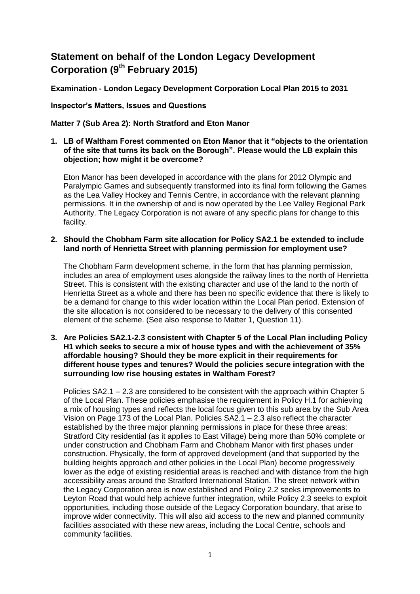# **Statement on behalf of the London Legacy Development Corporation (9th February 2015)**

**Examination - London Legacy Development Corporation Local Plan 2015 to 2031**

**Inspector's Matters, Issues and Questions** 

**Matter 7 (Sub Area 2): North Stratford and Eton Manor**

**1. LB of Waltham Forest commented on Eton Manor that it "objects to the orientation of the site that turns its back on the Borough". Please would the LB explain this objection; how might it be overcome?**

Eton Manor has been developed in accordance with the plans for 2012 Olympic and Paralympic Games and subsequently transformed into its final form following the Games as the Lea Valley Hockey and Tennis Centre, in accordance with the relevant planning permissions. It in the ownership of and is now operated by the Lee Valley Regional Park Authority. The Legacy Corporation is not aware of any specific plans for change to this facility.

**2. Should the Chobham Farm site allocation for Policy SA2.1 be extended to include land north of Henrietta Street with planning permission for employment use?**

The Chobham Farm development scheme, in the form that has planning permission, includes an area of employment uses alongside the railway lines to the north of Henrietta Street. This is consistent with the existing character and use of the land to the north of Henrietta Street as a whole and there has been no specific evidence that there is likely to be a demand for change to this wider location within the Local Plan period. Extension of the site allocation is not considered to be necessary to the delivery of this consented element of the scheme. (See also response to Matter 1, Question 11).

**3. Are Policies SA2.1-2.3 consistent with Chapter 5 of the Local Plan including Policy H1 which seeks to secure a mix of house types and with the achievement of 35% affordable housing? Should they be more explicit in their requirements for different house types and tenures? Would the policies secure integration with the surrounding low rise housing estates in Waltham Forest?**

Policies SA2.1 – 2.3 are considered to be consistent with the approach within Chapter 5 of the Local Plan. These policies emphasise the requirement in Policy H.1 for achieving a mix of housing types and reflects the local focus given to this sub area by the Sub Area Vision on Page 173 of the Local Plan. Policies SA2.1 – 2.3 also reflect the character established by the three major planning permissions in place for these three areas: Stratford City residential (as it applies to East Village) being more than 50% complete or under construction and Chobham Farm and Chobham Manor with first phases under construction. Physically, the form of approved development (and that supported by the building heights approach and other policies in the Local Plan) become progressively lower as the edge of existing residential areas is reached and with distance from the high accessibility areas around the Stratford International Station. The street network within the Legacy Corporation area is now established and Policy 2.2 seeks improvements to Leyton Road that would help achieve further integration, while Policy 2.3 seeks to exploit opportunities, including those outside of the Legacy Corporation boundary, that arise to improve wider connectivity. This will also aid access to the new and planned community facilities associated with these new areas, including the Local Centre, schools and community facilities.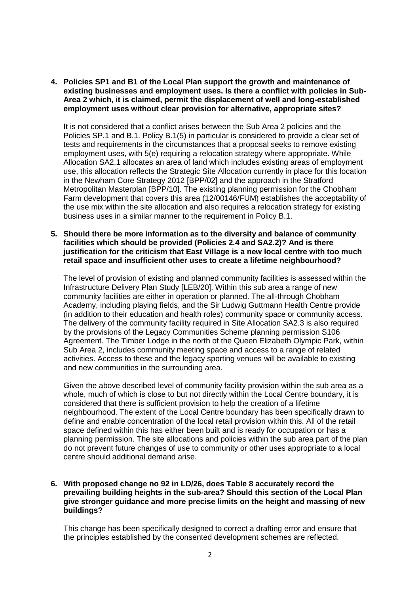**4. Policies SP1 and B1 of the Local Plan support the growth and maintenance of existing businesses and employment uses. Is there a conflict with policies in Sub-Area 2 which, it is claimed, permit the displacement of well and long-established employment uses without clear provision for alternative, appropriate sites?**

It is not considered that a conflict arises between the Sub Area 2 policies and the Policies SP.1 and B.1. Policy B.1(5) in particular is considered to provide a clear set of tests and requirements in the circumstances that a proposal seeks to remove existing employment uses, with 5(e) requiring a relocation strategy where appropriate. While Allocation SA2.1 allocates an area of land which includes existing areas of employment use, this allocation reflects the Strategic Site Allocation currently in place for this location in the Newham Core Strategy 2012 [BPP/02] and the approach in the Stratford Metropolitan Masterplan [BPP/10]. The existing planning permission for the Chobham Farm development that covers this area (12/00146/FUM) establishes the acceptability of the use mix within the site allocation and also requires a relocation strategy for existing business uses in a similar manner to the requirement in Policy B.1.

**5. Should there be more information as to the diversity and balance of community facilities which should be provided (Policies 2.4 and SA2.2)? And is there justification for the criticism that East Village is a new local centre with too much retail space and insufficient other uses to create a lifetime neighbourhood?**

The level of provision of existing and planned community facilities is assessed within the Infrastructure Delivery Plan Study [LEB/20]. Within this sub area a range of new community facilities are either in operation or planned. The all-through Chobham Academy, including playing fields, and the Sir Ludwig Guttmann Health Centre provide (in addition to their education and health roles) community space or community access. The delivery of the community facility required in Site Allocation SA2.3 is also required by the provisions of the Legacy Communities Scheme planning permission S106 Agreement. The Timber Lodge in the north of the Queen Elizabeth Olympic Park, within Sub Area 2, includes community meeting space and access to a range of related activities. Access to these and the legacy sporting venues will be available to existing and new communities in the surrounding area.

Given the above described level of community facility provision within the sub area as a whole, much of which is close to but not directly within the Local Centre boundary, it is considered that there is sufficient provision to help the creation of a lifetime neighbourhood. The extent of the Local Centre boundary has been specifically drawn to define and enable concentration of the local retail provision within this. All of the retail space defined within this has either been built and is ready for occupation or has a planning permission. The site allocations and policies within the sub area part of the plan do not prevent future changes of use to community or other uses appropriate to a local centre should additional demand arise.

## **6. With proposed change no 92 in LD/26, does Table 8 accurately record the prevailing building heights in the sub-area? Should this section of the Local Plan give stronger guidance and more precise limits on the height and massing of new buildings?**

This change has been specifically designed to correct a drafting error and ensure that the principles established by the consented development schemes are reflected.